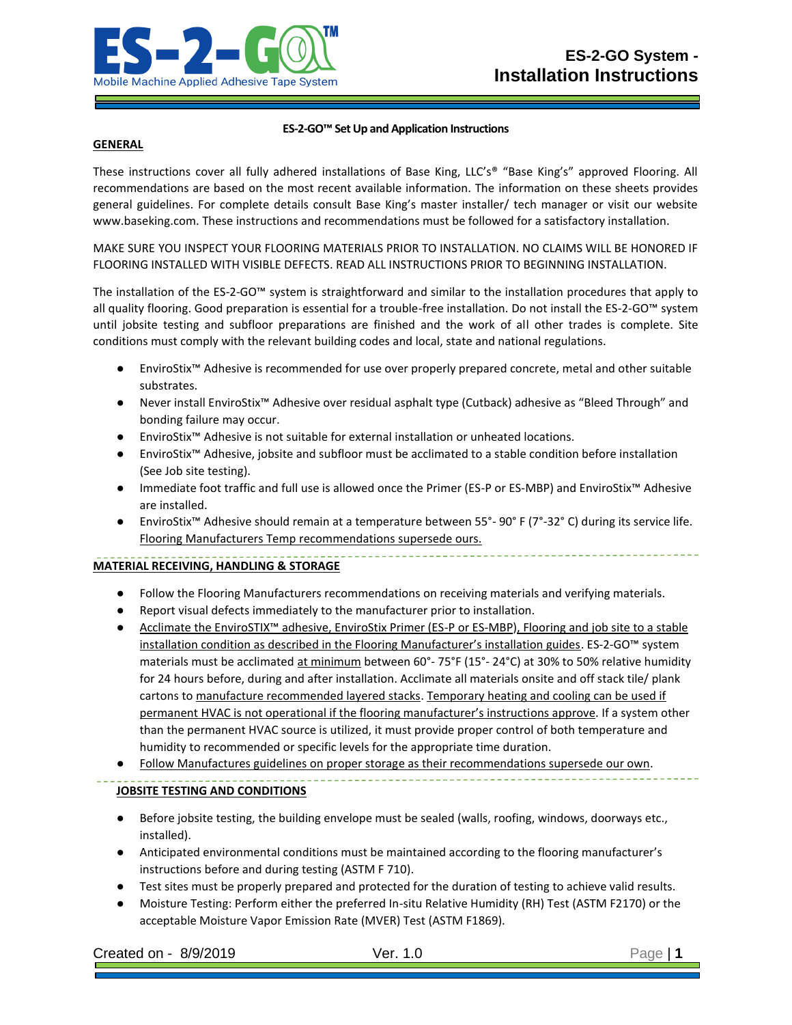

## **ES-2-GO™ Set Up and Application Instructions**

#### **GENERAL**

These instructions cover all fully adhered installations of Base King, LLC's® "Base King's" approved Flooring. All recommendations are based on the most recent available information. The information on these sheets provides general guidelines. For complete details consult Base King's master installer/ tech manager or visit our website www.baseking.com. These instructions and recommendations must be followed for a satisfactory installation.

MAKE SURE YOU INSPECT YOUR FLOORING MATERIALS PRIOR TO INSTALLATION. NO CLAIMS WILL BE HONORED IF FLOORING INSTALLED WITH VISIBLE DEFECTS. READ ALL INSTRUCTIONS PRIOR TO BEGINNING INSTALLATION.

The installation of the ES-2-GO™ system is straightforward and similar to the installation procedures that apply to all quality flooring. Good preparation is essential for a trouble-free installation. Do not install the ES-2-GO™ system until jobsite testing and subfloor preparations are finished and the work of all other trades is complete. Site conditions must comply with the relevant building codes and local, state and national regulations.

- EnviroStix™ Adhesive is recommended for use over properly prepared concrete, metal and other suitable substrates.
- Never install EnviroStix™ Adhesive over residual asphalt type (Cutback) adhesive as "Bleed Through" and bonding failure may occur.
- EnviroStix™ Adhesive is not suitable for external installation or unheated locations.
- EnviroStix™ Adhesive, jobsite and subfloor must be acclimated to a stable condition before installation (See Job site testing).
- Immediate foot traffic and full use is allowed once the Primer (ES-P or ES-MBP) and EnviroStix™ Adhesive are installed.
- EnviroStix™ Adhesive should remain at a temperature between 55°- 90° F (7°-32° C) during its service life. Flooring Manufacturers Temp recommendations supersede ours.

## **MATERIAL RECEIVING, HANDLING & STORAGE**

- Follow the Flooring Manufacturers recommendations on receiving materials and verifying materials.
- Report visual defects immediately to the manufacturer prior to installation.
- Acclimate the EnviroSTIX™ adhesive, EnviroStix Primer (ES-P or ES-MBP), Flooring and job site to a stable installation condition as described in the Flooring Manufacturer's installation guides. ES-2-GO™ system materials must be acclimated at minimum between 60°- 75°F (15°- 24°C) at 30% to 50% relative humidity for 24 hours before, during and after installation. Acclimate all materials onsite and off stack tile/ plank cartons to manufacture recommended layered stacks. Temporary heating and cooling can be used if permanent HVAC is not operational if the flooring manufacturer's instructions approve. If a system other than the permanent HVAC source is utilized, it must provide proper control of both temperature and humidity to recommended or specific levels for the appropriate time duration.
- Follow Manufactures guidelines on proper storage as their recommendations supersede our own.

# **JOBSITE TESTING AND CONDITIONS**

- Before jobsite testing, the building envelope must be sealed (walls, roofing, windows, doorways etc., installed).
- Anticipated environmental conditions must be maintained according to the flooring manufacturer's instructions before and during testing (ASTM F 710).
- Test sites must be properly prepared and protected for the duration of testing to achieve valid results.
- Moisture Testing: Perform either the preferred In-situ Relative Humidity (RH) Test (ASTM F2170) or the acceptable Moisture Vapor Emission Rate (MVER) Test (ASTM F1869).

Created on - 8/9/2019 Ver. 1.0 Page | **1**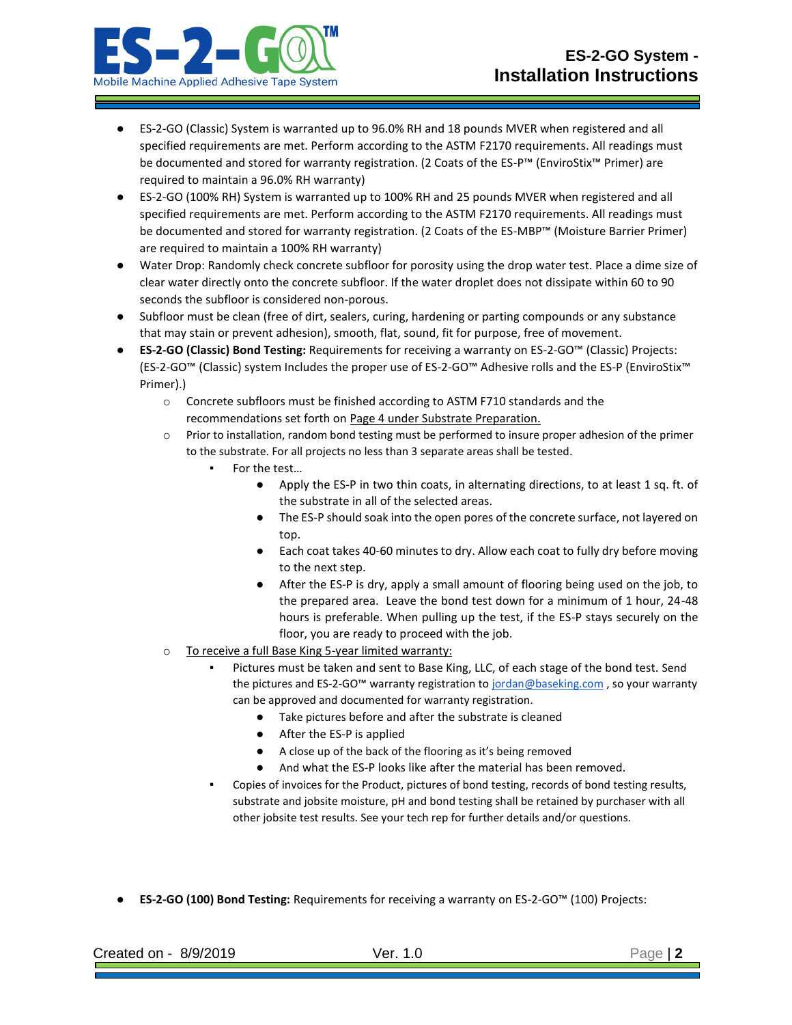

- ES-2-GO (Classic) System is warranted up to 96.0% RH and 18 pounds MVER when registered and all specified requirements are met. Perform according to the ASTM F2170 requirements. All readings must be documented and stored for warranty registration. (2 Coats of the ES-P™ (EnviroStix™ Primer) are required to maintain a 96.0% RH warranty)
- ES-2-GO (100% RH) System is warranted up to 100% RH and 25 pounds MVER when registered and all specified requirements are met. Perform according to the ASTM F2170 requirements. All readings must be documented and stored for warranty registration. (2 Coats of the ES-MBP™ (Moisture Barrier Primer) are required to maintain a 100% RH warranty)
- Water Drop: Randomly check concrete subfloor for porosity using the drop water test. Place a dime size of clear water directly onto the concrete subfloor. If the water droplet does not dissipate within 60 to 90 seconds the subfloor is considered non-porous.
- Subfloor must be clean (free of dirt, sealers, curing, hardening or parting compounds or any substance that may stain or prevent adhesion), smooth, flat, sound, fit for purpose, free of movement.
- **ES-2-GO (Classic) Bond Testing:** Requirements for receiving a warranty on ES-2-GO™ (Classic) Projects: (ES-2-GO™ (Classic) system Includes the proper use of ES-2-GO™ Adhesive rolls and the ES-P (EnviroStix™ Primer).)
	- o Concrete subfloors must be finished according to ASTM F710 standards and the recommendations set forth on Page 4 under Substrate Preparation.
	- o Prior to installation, random bond testing must be performed to insure proper adhesion of the primer to the substrate. For all projects no less than 3 separate areas shall be tested.
		- For the test...
			- Apply the ES-P in two thin coats, in alternating directions, to at least 1 sq. ft. of the substrate in all of the selected areas.
			- The ES-P should soak into the open pores of the concrete surface, not layered on top.
			- Each coat takes 40-60 minutes to dry. Allow each coat to fully dry before moving to the next step.
			- After the ES-P is dry, apply a small amount of flooring being used on the job, to the prepared area. Leave the bond test down for a minimum of 1 hour, 24-48 hours is preferable. When pulling up the test, if the ES-P stays securely on the floor, you are ready to proceed with the job.
	- o To receive a full Base King 5-year limited warranty:
		- Pictures must be taken and sent to Base King, LLC, of each stage of the bond test. Send the pictures and ES-2-GO™ warranty registration t[o jordan@baseking.com](mailto:jordan@baseking.com), so your warranty can be approved and documented for warranty registration.
			- Take pictures before and after the substrate is cleaned
			- After the ES-P is applied
			- A close up of the back of the flooring as it's being removed
			- And what the ES-P looks like after the material has been removed.
		- Copies of invoices for the Product, pictures of bond testing, records of bond testing results, substrate and jobsite moisture, pH and bond testing shall be retained by purchaser with all other jobsite test results. See your tech rep for further details and/or questions.
- **ES-2-GO (100) Bond Testing:** Requirements for receiving a warranty on ES-2-GO™ (100) Projects:

| Created on -<br>8/9/2019 | . .<br>$\sim$ |  |
|--------------------------|---------------|--|
|                          |               |  |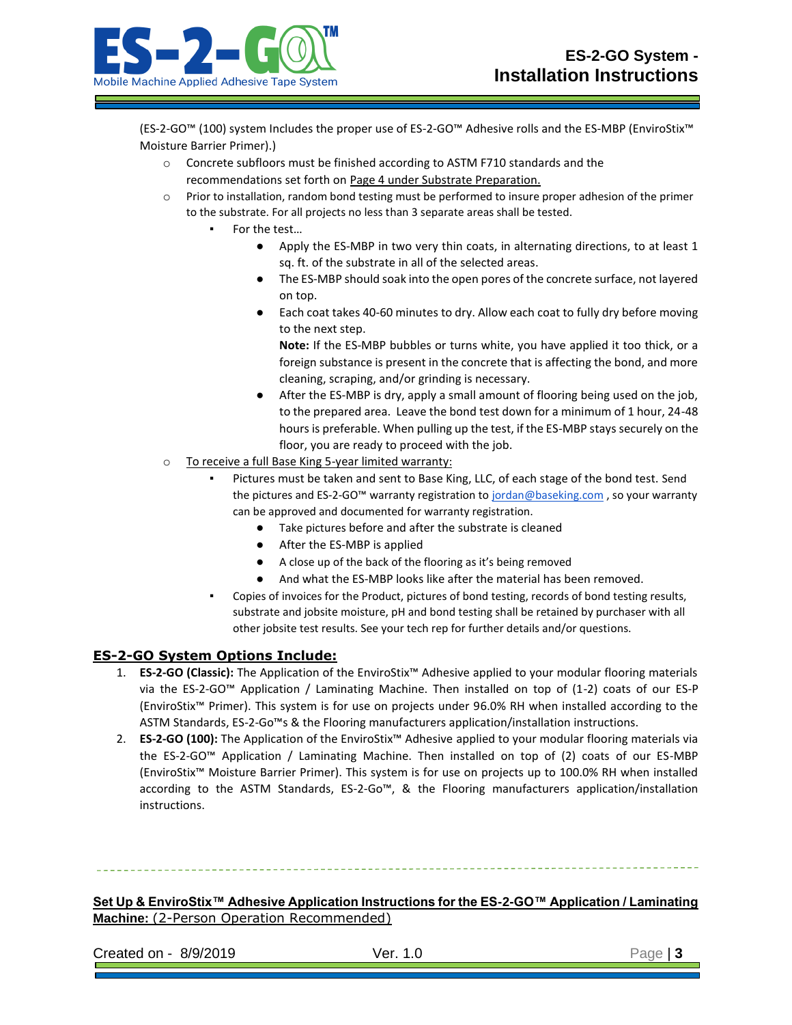(ES-2-GO™ (100) system Includes the proper use of ES-2-GO™ Adhesive rolls and the ES-MBP (EnviroStix™ Moisture Barrier Primer).)

- o Concrete subfloors must be finished according to ASTM F710 standards and the recommendations set forth on Page 4 under Substrate Preparation.
- o Prior to installation, random bond testing must be performed to insure proper adhesion of the primer to the substrate. For all projects no less than 3 separate areas shall be tested.
	- For the test...
		- Apply the ES-MBP in two very thin coats, in alternating directions, to at least 1 sq. ft. of the substrate in all of the selected areas.
		- The ES-MBP should soak into the open pores of the concrete surface, not layered on top.
		- Each coat takes 40-60 minutes to dry. Allow each coat to fully dry before moving to the next step.

**Note:** If the ES-MBP bubbles or turns white, you have applied it too thick, or a foreign substance is present in the concrete that is affecting the bond, and more cleaning, scraping, and/or grinding is necessary.

- After the ES-MBP is dry, apply a small amount of flooring being used on the job, to the prepared area. Leave the bond test down for a minimum of 1 hour, 24-48 hours is preferable. When pulling up the test, if the ES-MBP stays securely on the floor, you are ready to proceed with the job.
- o To receive a full Base King 5-year limited warranty:
	- Pictures must be taken and sent to Base King, LLC, of each stage of the bond test. Send the pictures and ES-2-GO™ warranty registration t[o jordan@baseking.com](mailto:jordan@baseking.com), so your warranty can be approved and documented for warranty registration.
		- Take pictures before and after the substrate is cleaned
		- After the ES-MBP is applied
		- A close up of the back of the flooring as it's being removed
		- And what the ES-MBP looks like after the material has been removed.
	- Copies of invoices for the Product, pictures of bond testing, records of bond testing results, substrate and jobsite moisture, pH and bond testing shall be retained by purchaser with all other jobsite test results. See your tech rep for further details and/or questions.

# **ES-2-GO System Options Include:**

- 1. **ES-2-GO (Classic):** The Application of the EnviroStix™ Adhesive applied to your modular flooring materials via the ES-2-GO™ Application / Laminating Machine. Then installed on top of (1-2) coats of our ES-P (EnviroStix™ Primer). This system is for use on projects under 96.0% RH when installed according to the ASTM Standards, ES-2-Go™s & the Flooring manufacturers application/installation instructions.
- 2. **ES-2-GO (100):** The Application of the EnviroStix™ Adhesive applied to your modular flooring materials via the ES-2-GO™ Application / Laminating Machine. Then installed on top of (2) coats of our ES-MBP (EnviroStix™ Moisture Barrier Primer). This system is for use on projects up to 100.0% RH when installed according to the ASTM Standards, ES-2-Go™, & the Flooring manufacturers application/installation instructions.

**Set Up & EnviroStix™ Adhesive Application Instructions for the ES-2-GO™ Application / Laminating** 

**Machine:** (2-Person Operation Recommended)

Created on - 8/9/2019 Ver. 1.0 Page | **3**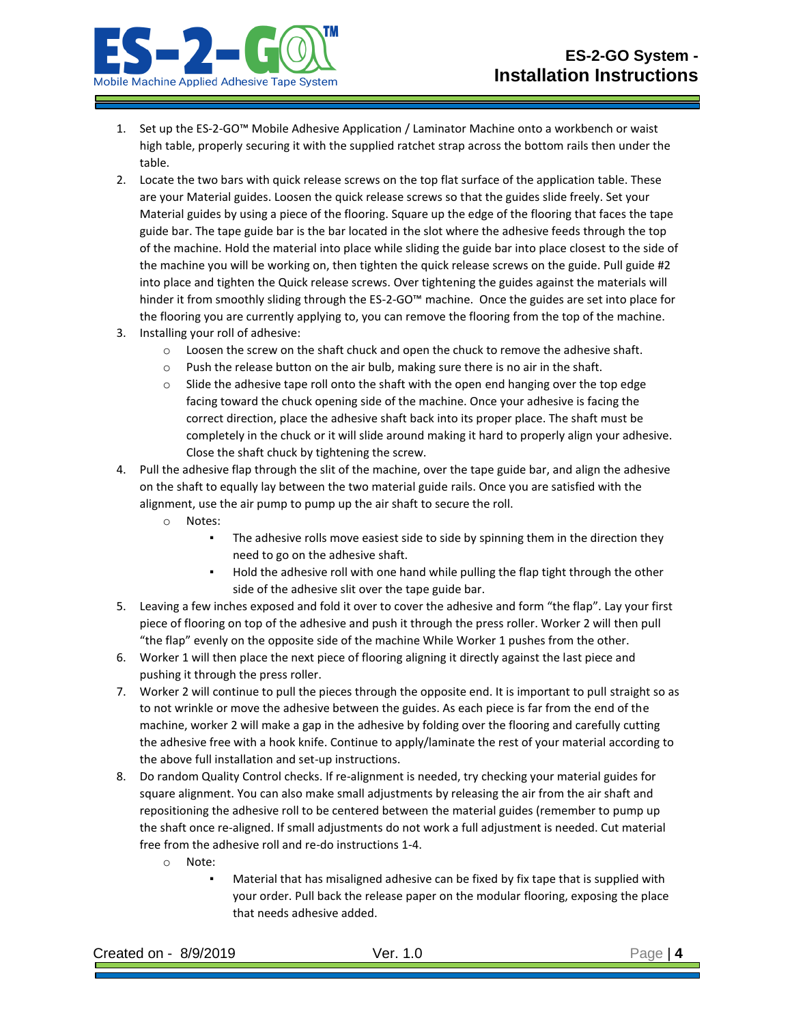

- 1. Set up the ES-2-GO™ Mobile Adhesive Application / Laminator Machine onto a workbench or waist high table, properly securing it with the supplied ratchet strap across the bottom rails then under the table.
- 2. Locate the two bars with quick release screws on the top flat surface of the application table. These are your Material guides. Loosen the quick release screws so that the guides slide freely. Set your Material guides by using a piece of the flooring. Square up the edge of the flooring that faces the tape guide bar. The tape guide bar is the bar located in the slot where the adhesive feeds through the top of the machine. Hold the material into place while sliding the guide bar into place closest to the side of the machine you will be working on, then tighten the quick release screws on the guide. Pull guide #2 into place and tighten the Quick release screws. Over tightening the guides against the materials will hinder it from smoothly sliding through the ES-2-GO™ machine. Once the guides are set into place for the flooring you are currently applying to, you can remove the flooring from the top of the machine.
- 3. Installing your roll of adhesive:
	- $\circ$  Loosen the screw on the shaft chuck and open the chuck to remove the adhesive shaft.
	- $\circ$  Push the release button on the air bulb, making sure there is no air in the shaft.
	- o Slide the adhesive tape roll onto the shaft with the open end hanging over the top edge facing toward the chuck opening side of the machine. Once your adhesive is facing the correct direction, place the adhesive shaft back into its proper place. The shaft must be completely in the chuck or it will slide around making it hard to properly align your adhesive. Close the shaft chuck by tightening the screw.
- 4. Pull the adhesive flap through the slit of the machine, over the tape guide bar, and align the adhesive on the shaft to equally lay between the two material guide rails. Once you are satisfied with the alignment, use the air pump to pump up the air shaft to secure the roll.
	- o Notes:
		- The adhesive rolls move easiest side to side by spinning them in the direction they need to go on the adhesive shaft.
		- Hold the adhesive roll with one hand while pulling the flap tight through the other side of the adhesive slit over the tape guide bar.
- 5. Leaving a few inches exposed and fold it over to cover the adhesive and form "the flap". Lay your first piece of flooring on top of the adhesive and push it through the press roller. Worker 2 will then pull "the flap" evenly on the opposite side of the machine While Worker 1 pushes from the other.
- 6. Worker 1 will then place the next piece of flooring aligning it directly against the last piece and pushing it through the press roller.
- 7. Worker 2 will continue to pull the pieces through the opposite end. It is important to pull straight so as to not wrinkle or move the adhesive between the guides. As each piece is far from the end of the machine, worker 2 will make a gap in the adhesive by folding over the flooring and carefully cutting the adhesive free with a hook knife. Continue to apply/laminate the rest of your material according to the above full installation and set-up instructions.
- 8. Do random Quality Control checks. If re-alignment is needed, try checking your material guides for square alignment. You can also make small adjustments by releasing the air from the air shaft and repositioning the adhesive roll to be centered between the material guides (remember to pump up the shaft once re-aligned. If small adjustments do not work a full adjustment is needed. Cut material free from the adhesive roll and re-do instructions 1-4.
	- o Note:
		- Material that has misaligned adhesive can be fixed by fix tape that is supplied with your order. Pull back the release paper on the modular flooring, exposing the place that needs adhesive added.

| Created on -<br>8/9/2019 |  |
|--------------------------|--|
|                          |  |
|                          |  |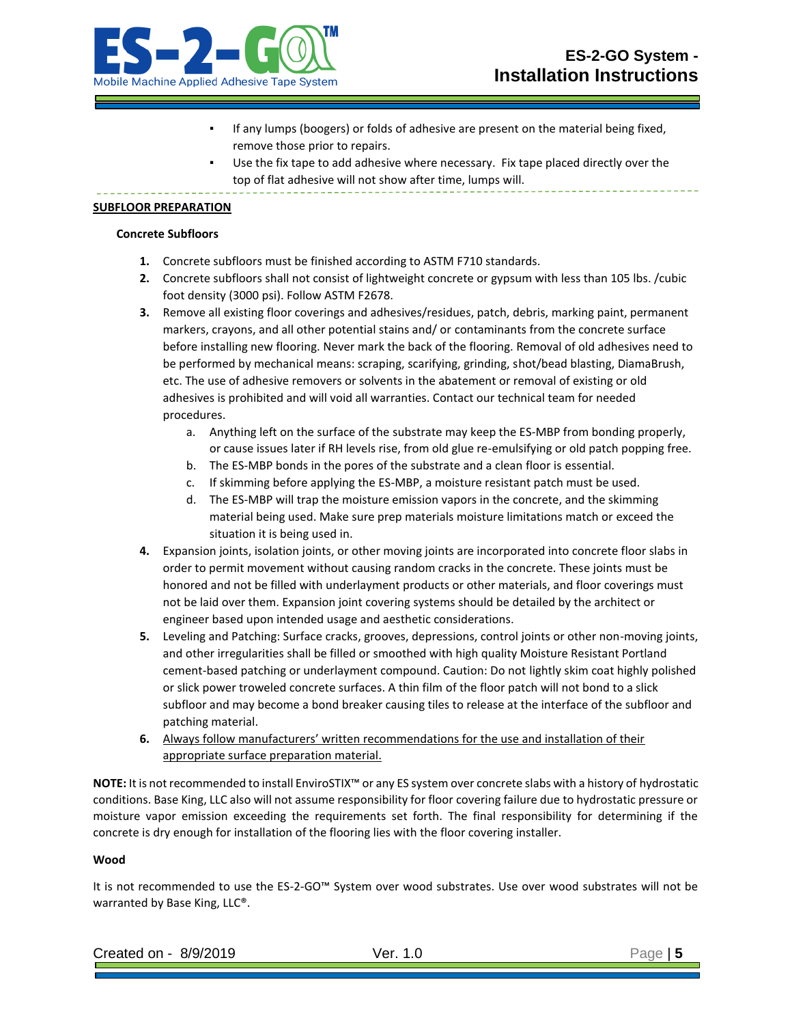



- If any lumps (boogers) or folds of adhesive are present on the material being fixed, remove those prior to repairs.
- Use the fix tape to add adhesive where necessary. Fix tape placed directly over the top of flat adhesive will not show after time, lumps will.

## **SUBFLOOR PREPARATION**

#### **Concrete Subfloors**

- **1.** Concrete subfloors must be finished according to ASTM F710 standards.
- **2.** Concrete subfloors shall not consist of lightweight concrete or gypsum with less than 105 lbs. /cubic foot density (3000 psi). Follow ASTM F2678.
- **3.** Remove all existing floor coverings and adhesives/residues, patch, debris, marking paint, permanent markers, crayons, and all other potential stains and/ or contaminants from the concrete surface before installing new flooring. Never mark the back of the flooring. Removal of old adhesives need to be performed by mechanical means: scraping, scarifying, grinding, shot/bead blasting, DiamaBrush, etc. The use of adhesive removers or solvents in the abatement or removal of existing or old adhesives is prohibited and will void all warranties. Contact our technical team for needed procedures.
	- a. Anything left on the surface of the substrate may keep the ES-MBP from bonding properly, or cause issues later if RH levels rise, from old glue re-emulsifying or old patch popping free.
	- b. The ES-MBP bonds in the pores of the substrate and a clean floor is essential.
	- c. If skimming before applying the ES-MBP, a moisture resistant patch must be used.
	- d. The ES-MBP will trap the moisture emission vapors in the concrete, and the skimming material being used. Make sure prep materials moisture limitations match or exceed the situation it is being used in.
- **4.** Expansion joints, isolation joints, or other moving joints are incorporated into concrete floor slabs in order to permit movement without causing random cracks in the concrete. These joints must be honored and not be filled with underlayment products or other materials, and floor coverings must not be laid over them. Expansion joint covering systems should be detailed by the architect or engineer based upon intended usage and aesthetic considerations.
- **5.** Leveling and Patching: Surface cracks, grooves, depressions, control joints or other non-moving joints, and other irregularities shall be filled or smoothed with high quality Moisture Resistant Portland cement-based patching or underlayment compound. Caution: Do not lightly skim coat highly polished or slick power troweled concrete surfaces. A thin film of the floor patch will not bond to a slick subfloor and may become a bond breaker causing tiles to release at the interface of the subfloor and patching material.
- **6.** Always follow manufacturers' written recommendations for the use and installation of their appropriate surface preparation material.

**NOTE:** It is not recommended to install EnviroSTIX™ or any ES system over concrete slabs with a history of hydrostatic conditions. Base King, LLC also will not assume responsibility for floor covering failure due to hydrostatic pressure or moisture vapor emission exceeding the requirements set forth. The final responsibility for determining if the concrete is dry enough for installation of the flooring lies with the floor covering installer.

### **Wood**

It is not recommended to use the ES-2-GO™ System over wood substrates. Use over wood substrates will not be warranted by Base King, LLC®.

| .91C<br>`reat<br>. A. I<br>rea on - | - -<br>________ |  |
|-------------------------------------|-----------------|--|
|                                     |                 |  |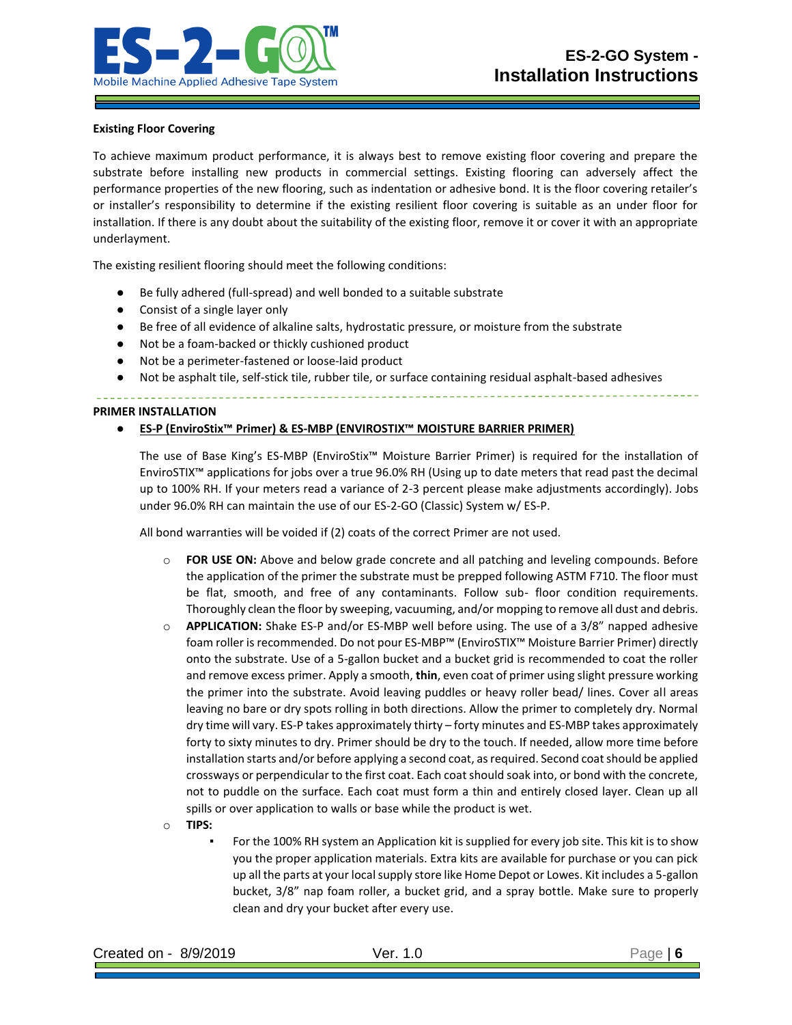

### **Existing Floor Covering**

To achieve maximum product performance, it is always best to remove existing floor covering and prepare the substrate before installing new products in commercial settings. Existing flooring can adversely affect the performance properties of the new flooring, such as indentation or adhesive bond. It is the floor covering retailer's or installer's responsibility to determine if the existing resilient floor covering is suitable as an under floor for installation. If there is any doubt about the suitability of the existing floor, remove it or cover it with an appropriate underlayment.

The existing resilient flooring should meet the following conditions:

- Be fully adhered (full-spread) and well bonded to a suitable substrate
- Consist of a single layer only
- Be free of all evidence of alkaline salts, hydrostatic pressure, or moisture from the substrate
- Not be a foam-backed or thickly cushioned product
- Not be a perimeter-fastened or loose-laid product
- Not be asphalt tile, self-stick tile, rubber tile, or surface containing residual asphalt-based adhesives

**PRIMER INSTALLATION**

## ● **ES-P (EnviroStix™ Primer) & ES-MBP (ENVIROSTIX™ MOISTURE BARRIER PRIMER)**

The use of Base King's ES-MBP (EnviroStix™ Moisture Barrier Primer) is required for the installation of EnviroSTIX™ applications for jobs over a true 96.0% RH (Using up to date meters that read past the decimal up to 100% RH. If your meters read a variance of 2-3 percent please make adjustments accordingly). Jobs under 96.0% RH can maintain the use of our ES-2-GO (Classic) System w/ ES-P.

All bond warranties will be voided if (2) coats of the correct Primer are not used.

- o **FOR USE ON:** Above and below grade concrete and all patching and leveling compounds. Before the application of the primer the substrate must be prepped following ASTM F710. The floor must be flat, smooth, and free of any contaminants. Follow sub- floor condition requirements. Thoroughly clean the floor by sweeping, vacuuming, and/or mopping to remove all dust and debris.
- o **APPLICATION:** Shake ES-P and/or ES-MBP well before using. The use of a 3/8" napped adhesive foam roller is recommended. Do not pour ES-MBP™ (EnviroSTIX™ Moisture Barrier Primer) directly onto the substrate. Use of a 5-gallon bucket and a bucket grid is recommended to coat the roller and remove excess primer. Apply a smooth, **thin**, even coat of primer using slight pressure working the primer into the substrate. Avoid leaving puddles or heavy roller bead/ lines. Cover all areas leaving no bare or dry spots rolling in both directions. Allow the primer to completely dry. Normal dry time will vary. ES-P takes approximately thirty – forty minutes and ES-MBP takes approximately forty to sixty minutes to dry. Primer should be dry to the touch. If needed, allow more time before installation starts and/or before applying a second coat, as required. Second coat should be applied crossways or perpendicular to the first coat. Each coat should soak into, or bond with the concrete, not to puddle on the surface. Each coat must form a thin and entirely closed layer. Clean up all spills or over application to walls or base while the product is wet.
- o **TIPS:** 
	- For the 100% RH system an Application kit is supplied for every job site. This kit is to show you the proper application materials. Extra kits are available for purchase or you can pick up all the parts at your local supply store like Home Depot or Lowes. Kit includes a 5-gallon bucket, 3/8" nap foam roller, a bucket grid, and a spray bottle. Make sure to properly clean and dry your bucket after every use.

| Created on - 8/9/2019 | Ver. 1.0 | Page $ 6$ |
|-----------------------|----------|-----------|
|-----------------------|----------|-----------|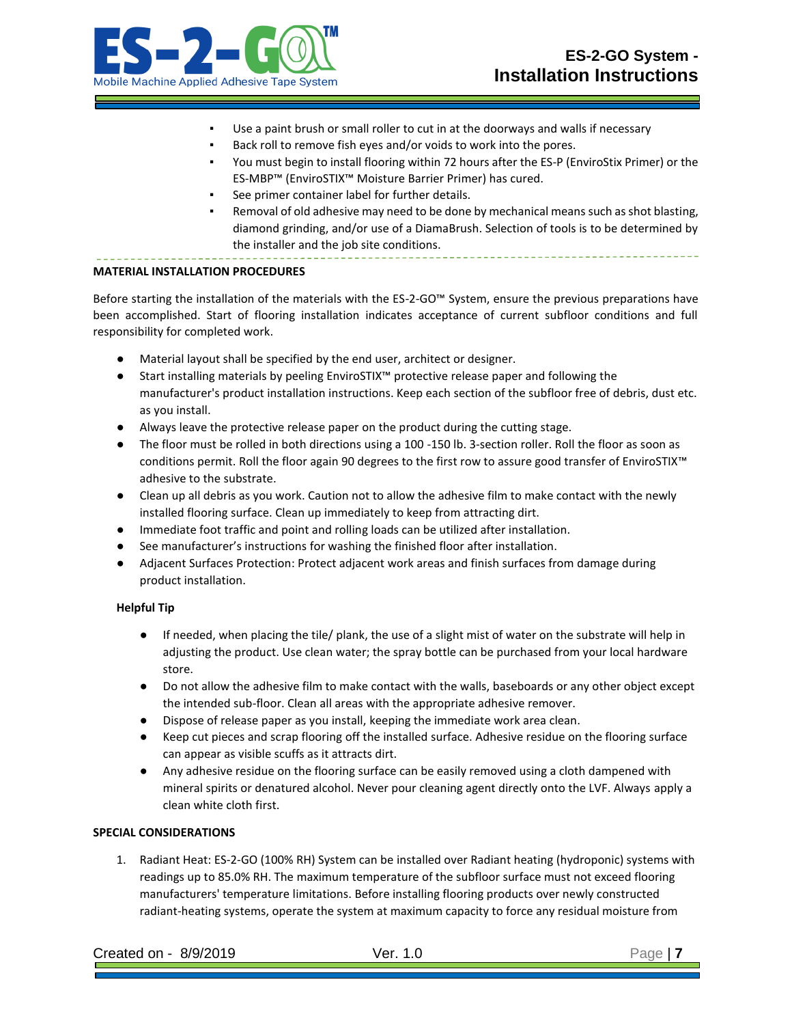

- Use a paint brush or small roller to cut in at the doorways and walls if necessary
- Back roll to remove fish eyes and/or voids to work into the pores.
- You must begin to install flooring within 72 hours after the ES-P (EnviroStix Primer) or the ES-MBP™ (EnviroSTIX™ Moisture Barrier Primer) has cured.
- See primer container label for further details.
- Removal of old adhesive may need to be done by mechanical means such as shot blasting, diamond grinding, and/or use of a DiamaBrush. Selection of tools is to be determined by the installer and the job site conditions.

#### **MATERIAL INSTALLATION PROCEDURES**

Before starting the installation of the materials with the ES-2-GO™ System, ensure the previous preparations have been accomplished. Start of flooring installation indicates acceptance of current subfloor conditions and full responsibility for completed work.

- Material layout shall be specified by the end user, architect or designer.
- Start installing materials by peeling EnviroSTIX™ protective release paper and following the manufacturer's product installation instructions. Keep each section of the subfloor free of debris, dust etc. as you install.
- Always leave the protective release paper on the product during the cutting stage.
- The floor must be rolled in both directions using a 100 -150 lb. 3-section roller. Roll the floor as soon as conditions permit. Roll the floor again 90 degrees to the first row to assure good transfer of EnviroSTIX™ adhesive to the substrate.
- Clean up all debris as you work. Caution not to allow the adhesive film to make contact with the newly installed flooring surface. Clean up immediately to keep from attracting dirt.
- Immediate foot traffic and point and rolling loads can be utilized after installation.
- See manufacturer's instructions for washing the finished floor after installation.
- Adjacent Surfaces Protection: Protect adjacent work areas and finish surfaces from damage during product installation.

### **Helpful Tip**

- If needed, when placing the tile/ plank, the use of a slight mist of water on the substrate will help in adjusting the product. Use clean water; the spray bottle can be purchased from your local hardware store.
- Do not allow the adhesive film to make contact with the walls, baseboards or any other object except the intended sub-floor. Clean all areas with the appropriate adhesive remover.
- Dispose of release paper as you install, keeping the immediate work area clean.
- Keep cut pieces and scrap flooring off the installed surface. Adhesive residue on the flooring surface can appear as visible scuffs as it attracts dirt.
- Any adhesive residue on the flooring surface can be easily removed using a cloth dampened with mineral spirits or denatured alcohol. Never pour cleaning agent directly onto the LVF. Always apply a clean white cloth first.

## **SPECIAL CONSIDERATIONS**

1. Radiant Heat: ES-2-GO (100% RH) System can be installed over Radiant heating (hydroponic) systems with readings up to 85.0% RH. The maximum temperature of the subfloor surface must not exceed flooring manufacturers' temperature limitations. Before installing flooring products over newly constructed radiant-heating systems, operate the system at maximum capacity to force any residual moisture from

| Created on - 8/9/2019 | Ver. 1.0 | Page |
|-----------------------|----------|------|
|-----------------------|----------|------|